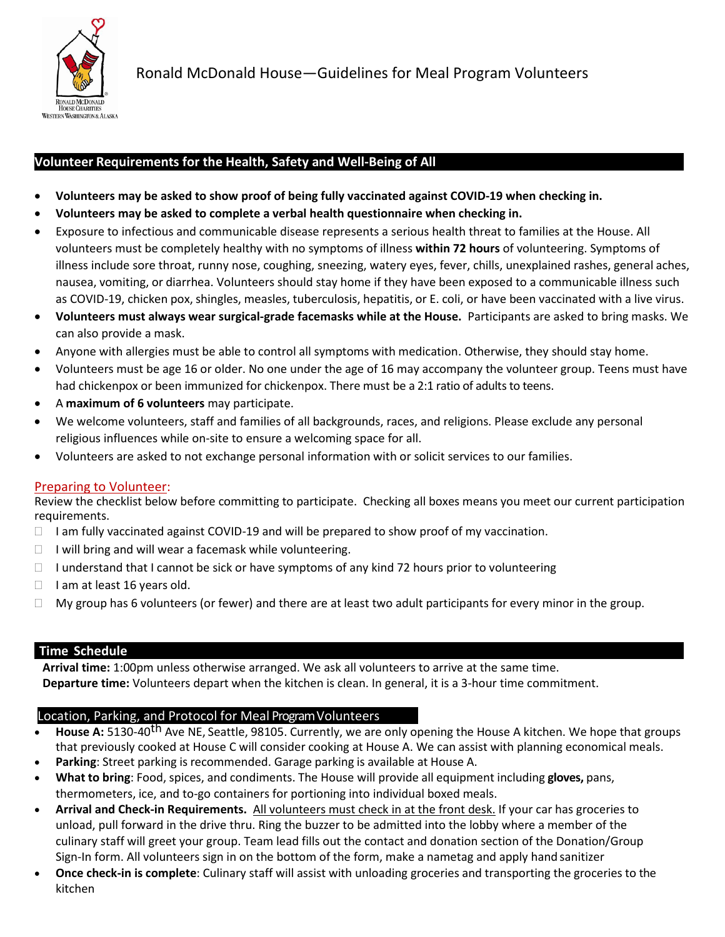

## **Volunteer Requirements for the Health, Safety and Well-Being of All**

- **Volunteers may be asked to show proof of being fully vaccinated against COVID-19 when checking in.**
- **Volunteers may be asked to complete a verbal health questionnaire when checking in.**
- Exposure to infectious and communicable disease represents a serious health threat to families at the House. All volunteers must be completely healthy with no symptoms of illness **within 72 hours** of volunteering. Symptoms of illness include sore throat, runny nose, coughing, sneezing, watery eyes, fever, chills, unexplained rashes, general aches, nausea, vomiting, or diarrhea. Volunteers should stay home if they have been exposed to a communicable illness such as COVID-19, chicken pox, shingles, measles, tuberculosis, hepatitis, or E. coli, or have been vaccinated with a live virus.
- **Volunteers must always wear surgical-grade facemasks while at the House.** Participants are asked to bring masks. We can also provide a mask.
- Anyone with allergies must be able to control all symptoms with medication. Otherwise, they should stay home.
- Volunteers must be age 16 or older. No one under the age of 16 may accompany the volunteer group. Teens must have had chickenpox or been immunized for chickenpox. There must be a 2:1 ratio of adults to teens.
- A **maximum of 6 volunteers** may participate.
- We welcome volunteers, staff and families of all backgrounds, races, and religions. Please exclude any personal religious influences while on-site to ensure a welcoming space for all.
- Volunteers are asked to not exchange personal information with or solicit services to our families.

## Preparing to Volunteer:

Review the checklist below before committing to participate. Checking all boxes means you meet our current participation requirements.

- $\Box$  I am fully vaccinated against COVID-19 and will be prepared to show proof of my vaccination.
- $\Box$  I will bring and will wear a facemask while volunteering.
- $\Box$  I understand that I cannot be sick or have symptoms of any kind 72 hours prior to volunteering
- $\Box$  I am at least 16 years old.
- $\Box$  My group has 6 volunteers (or fewer) and there are at least two adult participants for every minor in the group.

## **Time Schedule**

**Arrival time:** 1:00pm unless otherwise arranged. We ask all volunteers to arrive at the same time. **Departure time:** Volunteers depart when the kitchen is clean. In general, it is a 3-hour time commitment.

## Location, Parking, and Protocol for Meal Program Volunteers

- **House A:** 5130-40<sup>th</sup> Ave NE, Seattle, 98105. Currently, we are only opening the House A kitchen. We hope that groups that previously cooked at House C will consider cooking at House A. We can assist with planning economical meals.
- **Parking**: Street parking is recommended. Garage parking is available at House A.
- **What to bring**: Food, spices, and condiments. The House will provide all equipment including **gloves,** pans, thermometers, ice, and to-go containers for portioning into individual boxed meals.
- **Arrival and Check-in Requirements.** All volunteers must check in at the front desk. If your car has groceries to unload, pull forward in the drive thru. Ring the buzzer to be admitted into the lobby where a member of the culinary staff will greet your group. Team lead fills out the contact and donation section of the Donation/Group Sign-In form. All volunteers sign in on the bottom of the form, make a nametag and apply hand sanitizer
- **Once check-in is complete**: Culinary staff will assist with unloading groceries and transporting the groceries to the kitchen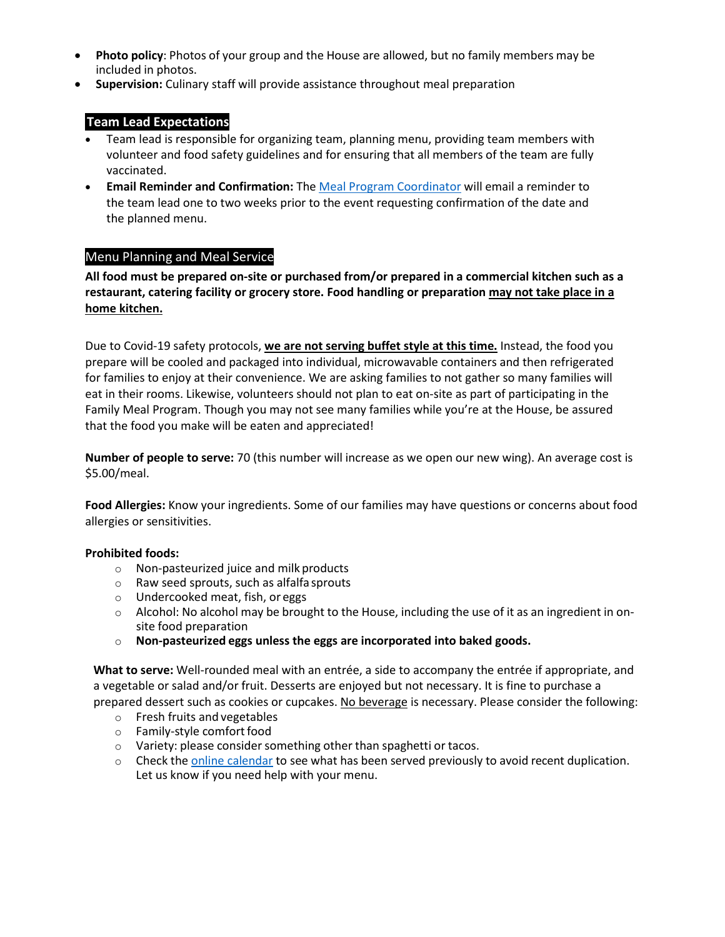- **Photo policy**: Photos of your group and the House are allowed, but no family members may be included in photos.
- **Supervision:** Culinary staff will provide assistance throughout meal preparation

# **Team Lead Expectations**

- Team lead is responsible for organizing team, planning menu, providing team members with volunteer and food safety guidelines and for ensuring that all members of the team are fully vaccinated.
- **Email Reminder and Confirmation:** Th[e Meal Program Coordinator](mailto:eleanor@rmhcseattle.org) will email a reminder to the team lead one to two weeks prior to the event requesting confirmation of the date and the planned menu.

## Menu Planning and Meal Service

**All food must be prepared on-site or purchased from/or prepared in a commercial kitchen such as a restaurant, catering facility or grocery store. Food handling or preparation may not take place in a home kitchen.** 

Due to Covid-19 safety protocols, **we are not serving buffet style at this time.** Instead, the food you prepare will be cooled and packaged into individual, microwavable containers and then refrigerated for families to enjoy at their convenience. We are asking families to not gather so many families will eat in their rooms. Likewise, volunteers should not plan to eat on-site as part of participating in the Family Meal Program. Though you may not see many families while you're at the House, be assured that the food you make will be eaten and appreciated!

**Number of people to serve:** 70 (this number will increase as we open our new wing). An average cost is \$5.00/meal.

**Food Allergies:** Know your ingredients. Some of our families may have questions or concerns about food allergies or sensitivities.

#### **Prohibited foods:**

- o Non-pasteurized juice and milk products
- o Raw seed sprouts, such as alfalfa sprouts
- o Undercooked meat, fish, or eggs
- $\circ$  Alcohol: No alcohol may be brought to the House, including the use of it as an ingredient in onsite food preparation
- o **Non-pasteurized eggs unless the eggs are incorporated into baked goods.**

**What to serve:** Well-rounded meal with an entrée, a side to accompany the entrée if appropriate, and a vegetable or salad and/or fruit. Desserts are enjoyed but not necessary. It is fine to purchase a prepared dessert such as cookies or cupcakes. No beverage is necessary. Please consider the following:

- o Fresh fruits and vegetables
- o Family-style comfort food
- $\circ$  Variety: please consider something other than spaghetti or tacos.
- $\circ$  Check th[e online calendar](https://calendar.google.com/calendar/u/0/r?pli=1#main_7) to see what has been served previously to avoid recent duplication. Let us know if you need help with your menu.